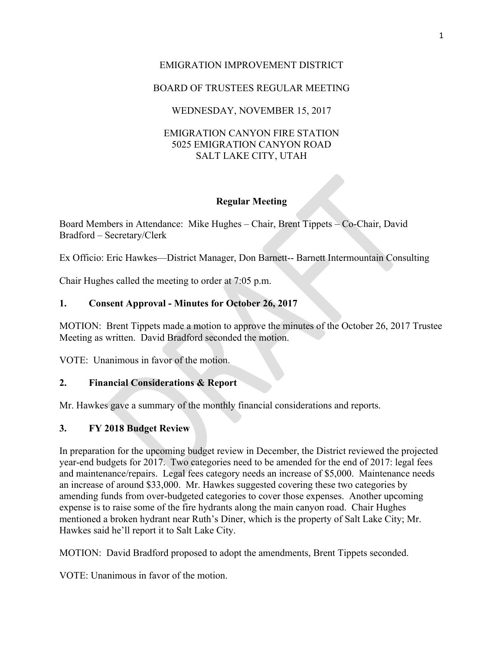# EMIGRATION IMPROVEMENT DISTRICT

# BOARD OF TRUSTEES REGULAR MEETING

# WEDNESDAY, NOVEMBER 15, 2017

### EMIGRATION CANYON FIRE STATION 5025 EMIGRATION CANYON ROAD SALT LAKE CITY, UTAH

### **Regular Meeting**

Board Members in Attendance: Mike Hughes – Chair, Brent Tippets – Co-Chair, David Bradford – Secretary/Clerk

Ex Officio: Eric Hawkes—District Manager, Don Barnett-- Barnett Intermountain Consulting

Chair Hughes called the meeting to order at 7:05 p.m.

# **1. Consent Approval - Minutes for October 26, 2017**

MOTION: Brent Tippets made a motion to approve the minutes of the October 26, 2017 Trustee Meeting as written. David Bradford seconded the motion.

VOTE: Unanimous in favor of the motion.

### **2. Financial Considerations & Report**

Mr. Hawkes gave a summary of the monthly financial considerations and reports.

### **3. FY 2018 Budget Review**

In preparation for the upcoming budget review in December, the District reviewed the projected year-end budgets for 2017. Two categories need to be amended for the end of 2017: legal fees and maintenance/repairs. Legal fees category needs an increase of \$5,000. Maintenance needs an increase of around \$33,000. Mr. Hawkes suggested covering these two categories by amending funds from over-budgeted categories to cover those expenses. Another upcoming expense is to raise some of the fire hydrants along the main canyon road. Chair Hughes mentioned a broken hydrant near Ruth's Diner, which is the property of Salt Lake City; Mr. Hawkes said he'll report it to Salt Lake City.

MOTION: David Bradford proposed to adopt the amendments, Brent Tippets seconded.

VOTE: Unanimous in favor of the motion.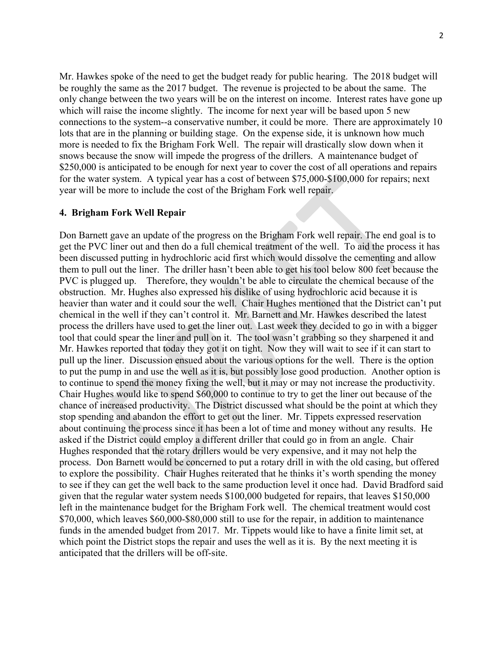Mr. Hawkes spoke of the need to get the budget ready for public hearing. The 2018 budget will be roughly the same as the 2017 budget. The revenue is projected to be about the same. The only change between the two years will be on the interest on income. Interest rates have gone up which will raise the income slightly. The income for next year will be based upon 5 new connections to the system--a conservative number, it could be more. There are approximately 10 lots that are in the planning or building stage. On the expense side, it is unknown how much more is needed to fix the Brigham Fork Well. The repair will drastically slow down when it snows because the snow will impede the progress of the drillers. A maintenance budget of \$250,000 is anticipated to be enough for next year to cover the cost of all operations and repairs for the water system. A typical year has a cost of between \$75,000-\$100,000 for repairs; next year will be more to include the cost of the Brigham Fork well repair.

#### **4. Brigham Fork Well Repair**

Don Barnett gave an update of the progress on the Brigham Fork well repair. The end goal is to get the PVC liner out and then do a full chemical treatment of the well. To aid the process it has been discussed putting in hydrochloric acid first which would dissolve the cementing and allow them to pull out the liner. The driller hasn't been able to get his tool below 800 feet because the PVC is plugged up. Therefore, they wouldn't be able to circulate the chemical because of the obstruction. Mr. Hughes also expressed his dislike of using hydrochloric acid because it is heavier than water and it could sour the well. Chair Hughes mentioned that the District can't put chemical in the well if they can't control it. Mr. Barnett and Mr. Hawkes described the latest process the drillers have used to get the liner out. Last week they decided to go in with a bigger tool that could spear the liner and pull on it. The tool wasn't grabbing so they sharpened it and Mr. Hawkes reported that today they got it on tight. Now they will wait to see if it can start to pull up the liner. Discussion ensued about the various options for the well. There is the option to put the pump in and use the well as it is, but possibly lose good production. Another option is to continue to spend the money fixing the well, but it may or may not increase the productivity. Chair Hughes would like to spend \$60,000 to continue to try to get the liner out because of the chance of increased productivity. The District discussed what should be the point at which they stop spending and abandon the effort to get out the liner. Mr. Tippets expressed reservation about continuing the process since it has been a lot of time and money without any results. He asked if the District could employ a different driller that could go in from an angle. Chair Hughes responded that the rotary drillers would be very expensive, and it may not help the process. Don Barnett would be concerned to put a rotary drill in with the old casing, but offered to explore the possibility. Chair Hughes reiterated that he thinks it's worth spending the money to see if they can get the well back to the same production level it once had. David Bradford said given that the regular water system needs \$100,000 budgeted for repairs, that leaves \$150,000 left in the maintenance budget for the Brigham Fork well. The chemical treatment would cost \$70,000, which leaves \$60,000-\$80,000 still to use for the repair, in addition to maintenance funds in the amended budget from 2017. Mr. Tippets would like to have a finite limit set, at which point the District stops the repair and uses the well as it is. By the next meeting it is anticipated that the drillers will be off-site.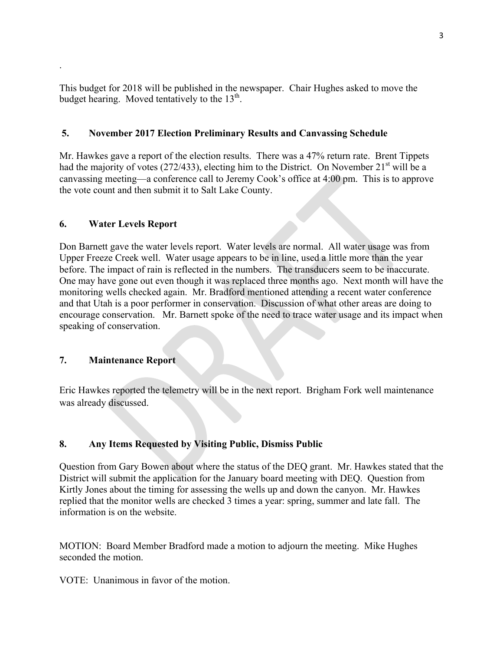This budget for 2018 will be published in the newspaper. Chair Hughes asked to move the budget hearing. Moved tentatively to the  $13<sup>th</sup>$ .

### **5. November 2017 Election Preliminary Results and Canvassing Schedule**

Mr. Hawkes gave a report of the election results. There was a 47% return rate. Brent Tippets had the majority of votes (272/433), electing him to the District. On November  $21<sup>st</sup>$  will be a canvassing meeting—a conference call to Jeremy Cook's office at 4:00 pm. This is to approve the vote count and then submit it to Salt Lake County.

### **6. Water Levels Report**

.

Don Barnett gave the water levels report. Water levels are normal. All water usage was from Upper Freeze Creek well. Water usage appears to be in line, used a little more than the year before. The impact of rain is reflected in the numbers. The transducers seem to be inaccurate. One may have gone out even though it was replaced three months ago. Next month will have the monitoring wells checked again. Mr. Bradford mentioned attending a recent water conference and that Utah is a poor performer in conservation. Discussion of what other areas are doing to encourage conservation. Mr. Barnett spoke of the need to trace water usage and its impact when speaking of conservation.

### **7. Maintenance Report**

Eric Hawkes reported the telemetry will be in the next report. Brigham Fork well maintenance was already discussed.

# **8. Any Items Requested by Visiting Public, Dismiss Public**

Question from Gary Bowen about where the status of the DEQ grant. Mr. Hawkes stated that the District will submit the application for the January board meeting with DEQ. Question from Kirtly Jones about the timing for assessing the wells up and down the canyon. Mr. Hawkes replied that the monitor wells are checked 3 times a year: spring, summer and late fall. The information is on the website.

MOTION: Board Member Bradford made a motion to adjourn the meeting. Mike Hughes seconded the motion.

VOTE: Unanimous in favor of the motion.